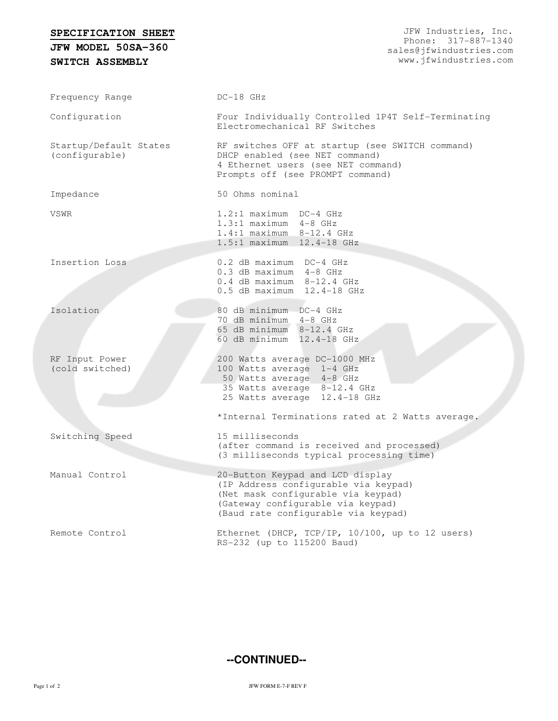## **SPECIFICATION SHEET**

**SWITCH ASSEMBLY JFW MODEL 50SA-360**

Frequency Range DC-18 GHz Configuration Four Individually Controlled 1P4T Self-Terminating Electromechanical RF Switches Startup/Default States (configurable) RF switches OFF at startup (see SWITCH command) DHCP enabled (see NET command) 4 Ethernet users (see NET command) Prompts off (see PROMPT command) Impedance 50 Ohms nominal VSWR 1.2:1 maximum DC-4 GHz 1.3:1 maximum 4-8 GHz 1.4:1 maximum 8-12.4 GHz 1.5:1 maximum 12.4-18 GHz Insertion Loss 0.2 dB maximum DC-4 GHz 0.3 dB maximum 4-8 GHz 0.4 dB maximum 8-12.4 GHz 0.5 dB maximum 12.4-18 GHz Isolation 80 dB minimum DC-4 GHz 70 dB minimum 4-8 GHz 65 dB minimum 8-12.4 GHz 60 dB minimum 12.4-18 GHz RF Input Power (cold switched) 200 Watts average DC-1000 MHz 100 Watts average 1-4 GHz 50 Watts average 4-8 GHz 35 Watts average 8-12.4 GHz 25 Watts average 12.4-18 GHz \*Internal Terminations rated at 2 Watts average. Switching Speed 15 milliseconds (after command is received and processed) (3 milliseconds typical processing time) Manual Control 20-Button Keypad and LCD display (IP Address configurable via keypad) (Net mask configurable via keypad) (Gateway configurable via keypad) (Baud rate configurable via keypad) Remote Control Ethernet (DHCP, TCP/IP, 10/100, up to 12 users) RS-232 (up to 115200 Baud)